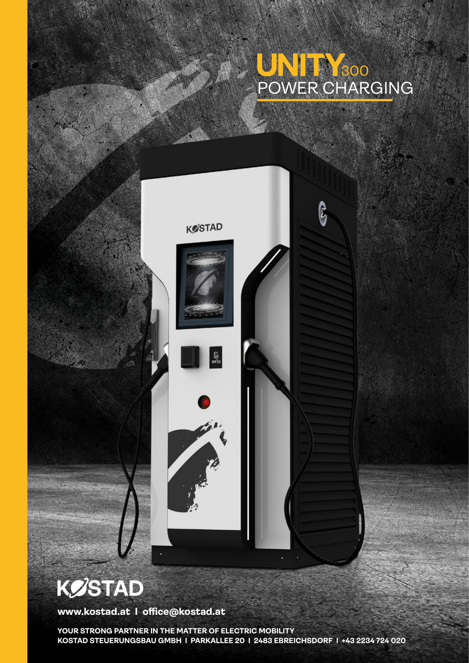## POWER CHARGING 300

ြို့



## **KØSTAD**

**www.kostad.at I office@kostad.at**

**YOUR STRONG PARTNER IN THE MATTER OF ELECTRIC MOBILITY KOSTAD STEUERUNGSBAU GMBH I PARKALLEE 20 I 2483 EBREICHSDORF I +43 2234 724 020**